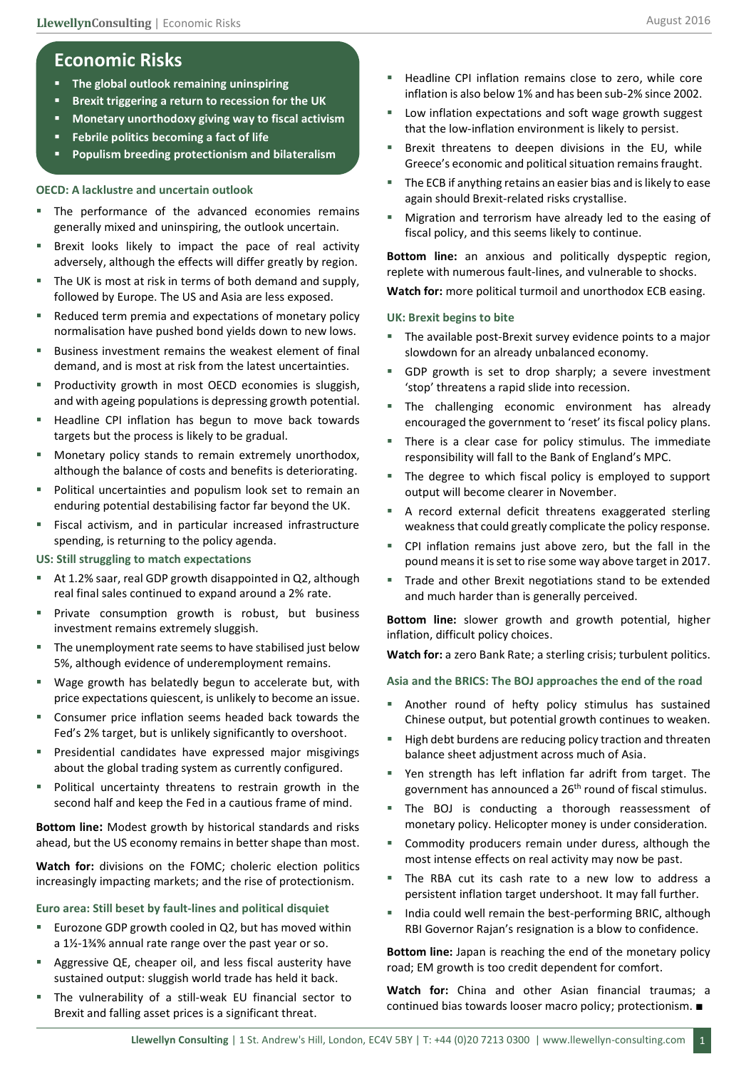# **Economic Risks**

- **The global outlook remaining uninspiring**
- **Brexit triggering a return to recession for the UK**
- **Monetary unorthodoxy giving way to fiscal activism**
- **Febrile politics becoming a fact of life**
- **Populism breeding protectionism and bilateralism**

## **OECD: A lacklustre and uncertain outlook**

- The performance of the advanced economies remains generally mixed and uninspiring, the outlook uncertain.
- Brexit looks likely to impact the pace of real activity adversely, although the effects will differ greatly by region.
- The UK is most at risk in terms of both demand and supply, followed by Europe. The US and Asia are less exposed.
- Reduced term premia and expectations of monetary policy normalisation have pushed bond yields down to new lows.
- Business investment remains the weakest element of final demand, and is most at risk from the latest uncertainties.
- Productivity growth in most OECD economies is sluggish, and with ageing populations is depressing growth potential.
- Headline CPI inflation has begun to move back towards targets but the process is likely to be gradual.
- **Monetary policy stands to remain extremely unorthodox,** although the balance of costs and benefits is deteriorating.
- Political uncertainties and populism look set to remain an enduring potential destabilising factor far beyond the UK.
- Fiscal activism, and in particular increased infrastructure spending, is returning to the policy agenda.

## **US: Still struggling to match expectations**

- At 1.2% saar, real GDP growth disappointed in Q2, although real final sales continued to expand around a 2% rate.
- Private consumption growth is robust, but business investment remains extremely sluggish.
- The unemployment rate seems to have stabilised just below 5%, although evidence of underemployment remains.
- Wage growth has belatedly begun to accelerate but, with price expectations quiescent, is unlikely to become an issue.
- Consumer price inflation seems headed back towards the Fed's 2% target, but is unlikely significantly to overshoot.
- Presidential candidates have expressed major misgivings about the global trading system as currently configured.
- Political uncertainty threatens to restrain growth in the second half and keep the Fed in a cautious frame of mind.

**Bottom line:** Modest growth by historical standards and risks ahead, but the US economy remains in better shape than most.

**Watch for:** divisions on the FOMC; choleric election politics increasingly impacting markets; and the rise of protectionism.

## **Euro area: Still beset by fault-lines and political disquiet**

- Eurozone GDP growth cooled in Q2, but has moved within a 1½-1¾% annual rate range over the past year or so.
- Aggressive QE, cheaper oil, and less fiscal austerity have sustained output: sluggish world trade has held it back.
- The vulnerability of a still-weak EU financial sector to Brexit and falling asset prices is a significant threat.
- Headline CPI inflation remains close to zero, while core inflation is also below 1% and has been sub-2% since 2002.
- Low inflation expectations and soft wage growth suggest that the low-inflation environment is likely to persist.
- Brexit threatens to deepen divisions in the EU, while Greece's economic and political situation remains fraught.
- The ECB if anything retains an easier bias and is likely to ease again should Brexit-related risks crystallise.
- Migration and terrorism have already led to the easing of fiscal policy, and this seems likely to continue.

**Bottom line:** an anxious and politically dyspeptic region, replete with numerous fault-lines, and vulnerable to shocks. **Watch for:** more political turmoil and unorthodox ECB easing.

#### **UK: Brexit begins to bite**

- The available post-Brexit survey evidence points to a major slowdown for an already unbalanced economy.
- GDP growth is set to drop sharply; a severe investment 'stop' threatens a rapid slide into recession.
- The challenging economic environment has already encouraged the government to 'reset' its fiscal policy plans.
- There is a clear case for policy stimulus. The immediate responsibility will fall to the Bank of England's MPC.
- The degree to which fiscal policy is employed to support output will become clearer in November.
- A record external deficit threatens exaggerated sterling weakness that could greatly complicate the policy response.
- CPI inflation remains just above zero, but the fall in the pound means it is set to rise some way above target in 2017.
- Trade and other Brexit negotiations stand to be extended and much harder than is generally perceived.

**Bottom line:** slower growth and growth potential, higher inflation, difficult policy choices.

**Watch for:** a zero Bank Rate; a sterling crisis; turbulent politics.

**Asia and the BRICS: The BOJ approaches the end of the road**

- Another round of hefty policy stimulus has sustained Chinese output, but potential growth continues to weaken.
- High debt burdens are reducing policy traction and threaten balance sheet adjustment across much of Asia.
- Yen strength has left inflation far adrift from target. The government has announced a 26<sup>th</sup> round of fiscal stimulus.
- The BOJ is conducting a thorough reassessment of monetary policy. Helicopter money is under consideration.
- Commodity producers remain under duress, although the most intense effects on real activity may now be past.
- The RBA cut its cash rate to a new low to address a persistent inflation target undershoot. It may fall further.
- **India could well remain the best-performing BRIC, although** RBI Governor Rajan's resignation is a blow to confidence.

**Bottom line:** Japan is reaching the end of the monetary policy road; EM growth is too credit dependent for comfort.

**Watch for:** China and other Asian financial traumas; a continued bias towards looser macro policy; protectionism. ■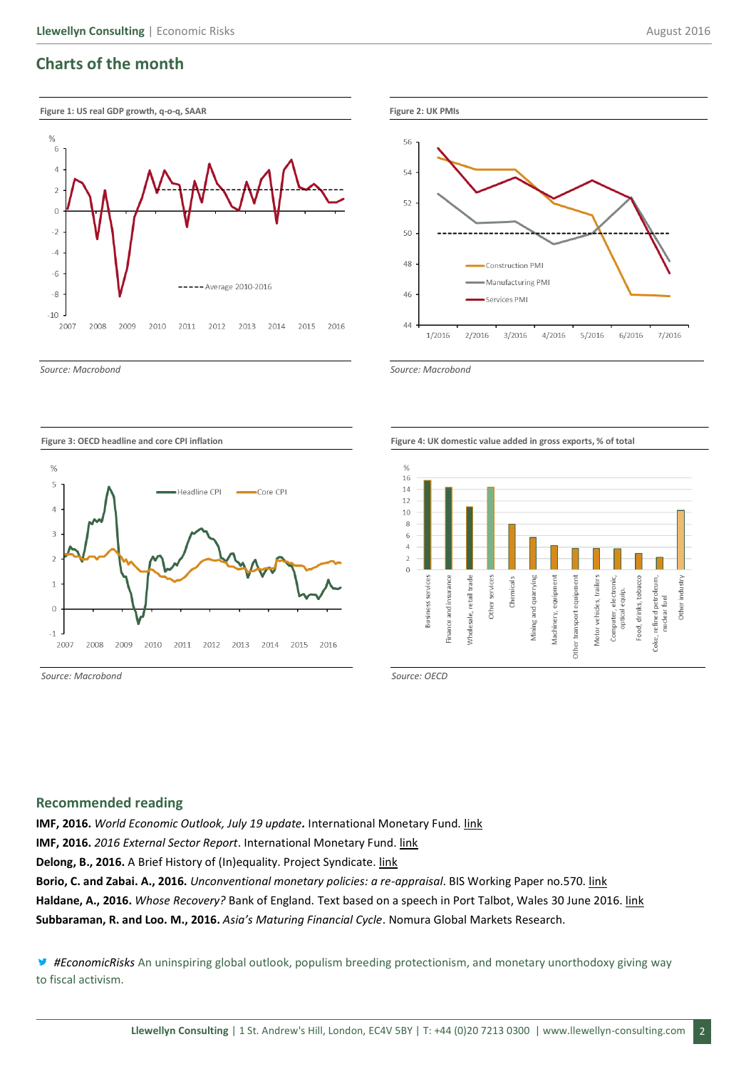## **Charts of the month**





*Source: Macrobond Source: Macrobond*





**Figure 3: OECD headline and core CPI inflation Figure 4: UK domestic value added in gross exports, % of total**



*Source: Macrobond Source: OECD* 

## **Recommended reading**

**IMF, 2016.** *World Economic Outlook, July 19 update.* International Monetary Fund. [link](http://www.imf.org/external/pubs/ft/weo/2016/update/02/pdf/0716.pdf)

**IMF, 2016.** *2016 External Sector Report*. International Monetary Fund. [link](http://www.imf.org/external/np/pp/eng/2016/072716.pdf)

**Delong, B., 2016.** A Brief History of (In)equality. Project Syndicate. [link](https://www.project-syndicate.org/commentary/history-income-distribution-by-j--bradford-delong-2016-07)

**Borio, C. and Zabai. A., 2016.** *Unconventional monetary policies: a re-appraisal*. BIS Working Paper no.570. [link](https://www.bis.org/publ/work570.pdf) **Haldane, A., 2016.** *Whose Recovery?* Bank of England. Text based on a speech in Port Talbot, Wales 30 June 2016[. link](http://www.bankofengland.co.uk/publications/Documents/speeches/2016/speech916.pdf)

**Subbaraman, R. and Loo. M., 2016.** *Asia's Maturing Financial Cycle*. Nomura Global Markets Research.

*#EconomicRisks* An uninspiring global outlook, populism breeding protectionism, and monetary unorthodoxy giving way to fiscal activism.